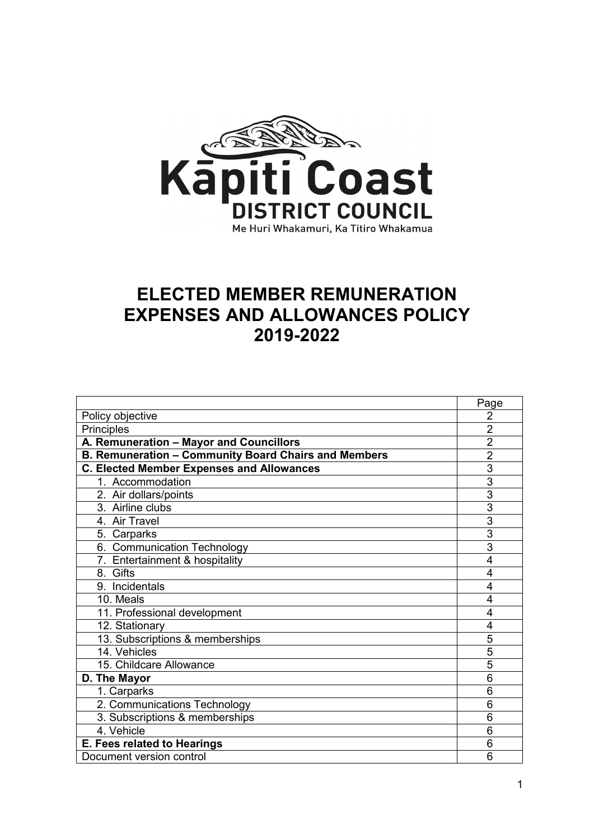

# **ELECTED MEMBER REMUNERATION EXPENSES AND ALLOWANCES POLICY 2019-2022**

|                                                      | Page           |
|------------------------------------------------------|----------------|
| Policy objective                                     | $\overline{2}$ |
| Principles                                           | $\overline{2}$ |
| A. Remuneration - Mayor and Councillors              | $\overline{2}$ |
| B. Remuneration - Community Board Chairs and Members | $\overline{2}$ |
| <b>C. Elected Member Expenses and Allowances</b>     | $\overline{3}$ |
| 1. Accommodation                                     | $\overline{3}$ |
| 2. Air dollars/points                                | $\overline{3}$ |
| 3. Airline clubs                                     | $\overline{3}$ |
| 4. Air Travel                                        | $\overline{3}$ |
| 5. Carparks                                          | 3              |
| 6. Communication Technology                          | 3              |
| 7. Entertainment & hospitality                       | 4              |
| 8. Gifts                                             | 4              |
| 9. Incidentals                                       | 4              |
| 10. Meals                                            | 4              |
| 11. Professional development                         | 4              |
| 12. Stationary                                       | $\overline{4}$ |
| 13. Subscriptions & memberships                      | 5              |
| 14. Vehicles                                         | 5              |
| 15. Childcare Allowance                              | 5              |
| D. The Mayor                                         | 6              |
| 1. Carparks                                          | 6              |
| 2. Communications Technology                         | 6              |
| 3. Subscriptions & memberships                       | 6              |
| 4. Vehicle                                           | 6              |
| E. Fees related to Hearings                          | 6              |
| Document version control                             | 6              |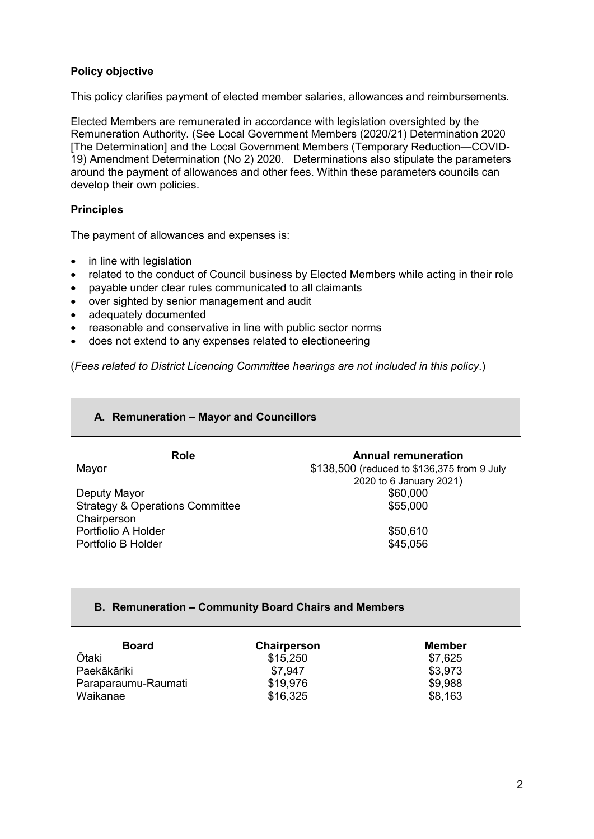## **Policy objective**

This policy clarifies payment of elected member salaries, allowances and reimbursements.

Elected Members are remunerated in accordance with legislation oversighted by the Remuneration Authority. (See Local Government Members (2020/21) Determination 2020 [The Determination] and the Local Government Members (Temporary Reduction—COVID-19) Amendment Determination (No 2) 2020. Determinations also stipulate the parameters around the payment of allowances and other fees. Within these parameters councils can develop their own policies.

#### **Principles**

The payment of allowances and expenses is:

- in line with legislation
- related to the conduct of Council business by Elected Members while acting in their role
- payable under clear rules communicated to all claimants
- over sighted by senior management and audit
- adequately documented
- reasonable and conservative in line with public sector norms
- does not extend to any expenses related to electioneering

(*Fees related to District Licencing Committee hearings are not included in this policy*.)

#### **A. Remuneration – Mayor and Councillors**

| <b>Role</b>                                | <b>Annual remuneration</b>                  |
|--------------------------------------------|---------------------------------------------|
| Mayor                                      | \$138,500 (reduced to \$136,375 from 9 July |
|                                            | 2020 to 6 January 2021)                     |
| Deputy Mayor                               | \$60,000                                    |
| <b>Strategy &amp; Operations Committee</b> | \$55,000                                    |
| Chairperson                                |                                             |
| Portfiolio A Holder                        | \$50,610                                    |
| Portfolio B Holder                         | \$45,056                                    |
|                                            |                                             |

#### **B. Remuneration – Community Board Chairs and Members**

| <b>Board</b>        | <b>Chairperson</b> | Member  |
|---------------------|--------------------|---------|
| <b>Ōtaki</b>        | \$15,250           | \$7,625 |
| Paekākāriki         | \$7.947            | \$3.973 |
| Paraparaumu-Raumati | \$19,976           | \$9,988 |
| Waikanae            | \$16,325           | \$8,163 |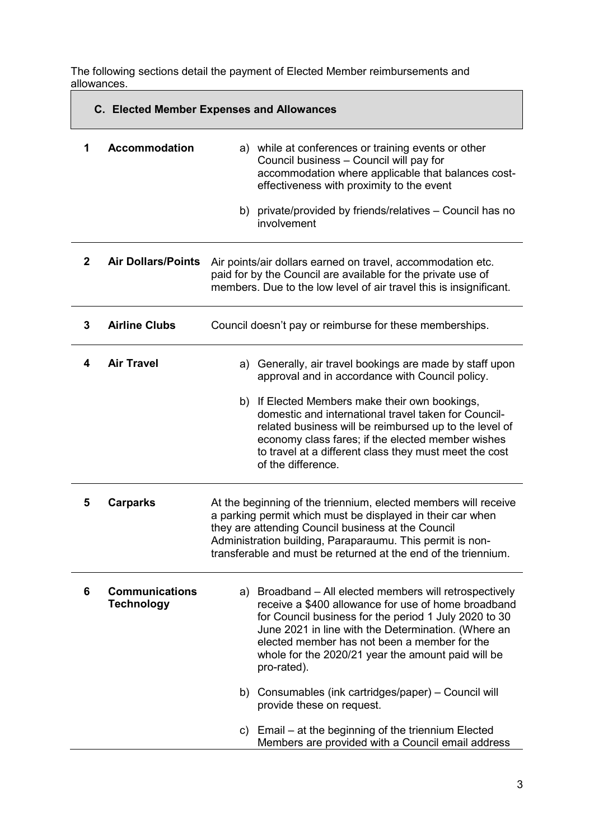The following sections detail the payment of Elected Member reimbursements and allowances.

| <b>C. Elected Member Expenses and Allowances</b> |                                            |                                                                                                                                                                                                                                                                                                                                                     |  |
|--------------------------------------------------|--------------------------------------------|-----------------------------------------------------------------------------------------------------------------------------------------------------------------------------------------------------------------------------------------------------------------------------------------------------------------------------------------------------|--|
| 1                                                | <b>Accommodation</b>                       | a) while at conferences or training events or other<br>Council business - Council will pay for<br>accommodation where applicable that balances cost-<br>effectiveness with proximity to the event                                                                                                                                                   |  |
|                                                  |                                            | b) private/provided by friends/relatives - Council has no<br>involvement                                                                                                                                                                                                                                                                            |  |
| $\mathbf{2}$                                     | <b>Air Dollars/Points</b>                  | Air points/air dollars earned on travel, accommodation etc.<br>paid for by the Council are available for the private use of<br>members. Due to the low level of air travel this is insignificant.                                                                                                                                                   |  |
| 3                                                | <b>Airline Clubs</b>                       | Council doesn't pay or reimburse for these memberships.                                                                                                                                                                                                                                                                                             |  |
| 4                                                | <b>Air Travel</b>                          | a) Generally, air travel bookings are made by staff upon<br>approval and in accordance with Council policy.                                                                                                                                                                                                                                         |  |
|                                                  |                                            | b) If Elected Members make their own bookings,<br>domestic and international travel taken for Council-<br>related business will be reimbursed up to the level of<br>economy class fares; if the elected member wishes<br>to travel at a different class they must meet the cost<br>of the difference.                                               |  |
| 5                                                | <b>Carparks</b>                            | At the beginning of the triennium, elected members will receive<br>a parking permit which must be displayed in their car when<br>they are attending Council business at the Council<br>Administration building, Paraparaumu. This permit is non-<br>transferable and must be returned at the end of the triennium.                                  |  |
| 6                                                | <b>Communications</b><br><b>Technology</b> | a) Broadband - All elected members will retrospectively<br>receive a \$400 allowance for use of home broadband<br>for Council business for the period 1 July 2020 to 30<br>June 2021 in line with the Determination. (Where an<br>elected member has not been a member for the<br>whole for the 2020/21 year the amount paid will be<br>pro-rated). |  |
|                                                  |                                            | b) Consumables (ink cartridges/paper) – Council will<br>provide these on request.                                                                                                                                                                                                                                                                   |  |
|                                                  |                                            | Email – at the beginning of the triennium Elected<br>C)<br>Members are provided with a Council email address                                                                                                                                                                                                                                        |  |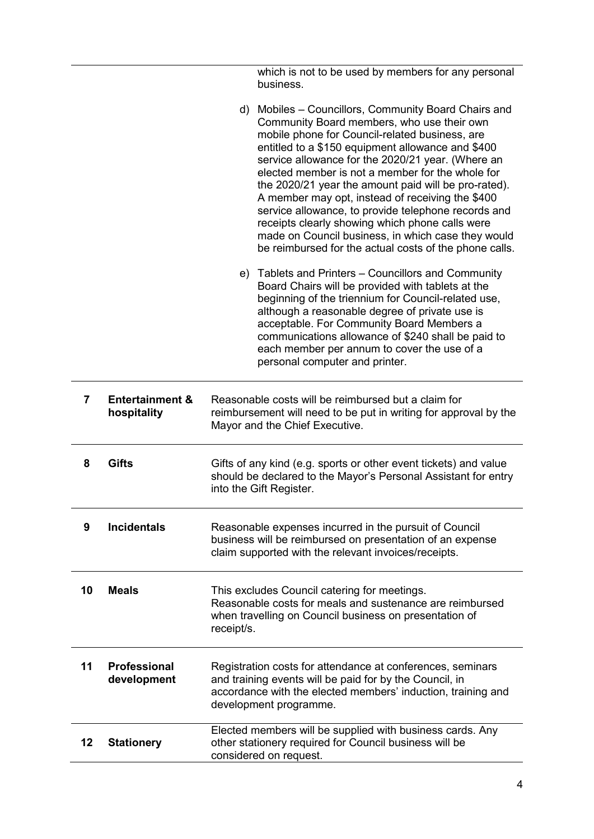|    |                                           | which is not to be used by members for any personal<br>business.                                                                                                                                                                                                                                                                                                                                                                                                                                                                                                                                                                                                                                                                                                                                                                                                                                                                                                                                                                                                  |  |
|----|-------------------------------------------|-------------------------------------------------------------------------------------------------------------------------------------------------------------------------------------------------------------------------------------------------------------------------------------------------------------------------------------------------------------------------------------------------------------------------------------------------------------------------------------------------------------------------------------------------------------------------------------------------------------------------------------------------------------------------------------------------------------------------------------------------------------------------------------------------------------------------------------------------------------------------------------------------------------------------------------------------------------------------------------------------------------------------------------------------------------------|--|
|    |                                           | d) Mobiles - Councillors, Community Board Chairs and<br>Community Board members, who use their own<br>mobile phone for Council-related business, are<br>entitled to a \$150 equipment allowance and \$400<br>service allowance for the 2020/21 year. (Where an<br>elected member is not a member for the whole for<br>the 2020/21 year the amount paid will be pro-rated).<br>A member may opt, instead of receiving the \$400<br>service allowance, to provide telephone records and<br>receipts clearly showing which phone calls were<br>made on Council business, in which case they would<br>be reimbursed for the actual costs of the phone calls.<br>e) Tablets and Printers – Councillors and Community<br>Board Chairs will be provided with tablets at the<br>beginning of the triennium for Council-related use,<br>although a reasonable degree of private use is<br>acceptable. For Community Board Members a<br>communications allowance of \$240 shall be paid to<br>each member per annum to cover the use of a<br>personal computer and printer. |  |
| 7  | <b>Entertainment &amp;</b><br>hospitality | Reasonable costs will be reimbursed but a claim for<br>reimbursement will need to be put in writing for approval by the<br>Mayor and the Chief Executive.                                                                                                                                                                                                                                                                                                                                                                                                                                                                                                                                                                                                                                                                                                                                                                                                                                                                                                         |  |
| 8  | <b>Gifts</b>                              | Gifts of any kind (e.g. sports or other event tickets) and value<br>should be declared to the Mayor's Personal Assistant for entry<br>into the Gift Register.                                                                                                                                                                                                                                                                                                                                                                                                                                                                                                                                                                                                                                                                                                                                                                                                                                                                                                     |  |
| 9  | <b>Incidentals</b>                        | Reasonable expenses incurred in the pursuit of Council<br>business will be reimbursed on presentation of an expense<br>claim supported with the relevant invoices/receipts.                                                                                                                                                                                                                                                                                                                                                                                                                                                                                                                                                                                                                                                                                                                                                                                                                                                                                       |  |
| 10 | <b>Meals</b>                              | This excludes Council catering for meetings.<br>Reasonable costs for meals and sustenance are reimbursed<br>when travelling on Council business on presentation of<br>receipt/s.                                                                                                                                                                                                                                                                                                                                                                                                                                                                                                                                                                                                                                                                                                                                                                                                                                                                                  |  |
| 11 | <b>Professional</b><br>development        | Registration costs for attendance at conferences, seminars<br>and training events will be paid for by the Council, in<br>accordance with the elected members' induction, training and<br>development programme.                                                                                                                                                                                                                                                                                                                                                                                                                                                                                                                                                                                                                                                                                                                                                                                                                                                   |  |
| 12 | <b>Stationery</b>                         | Elected members will be supplied with business cards. Any<br>other stationery required for Council business will be<br>considered on request.                                                                                                                                                                                                                                                                                                                                                                                                                                                                                                                                                                                                                                                                                                                                                                                                                                                                                                                     |  |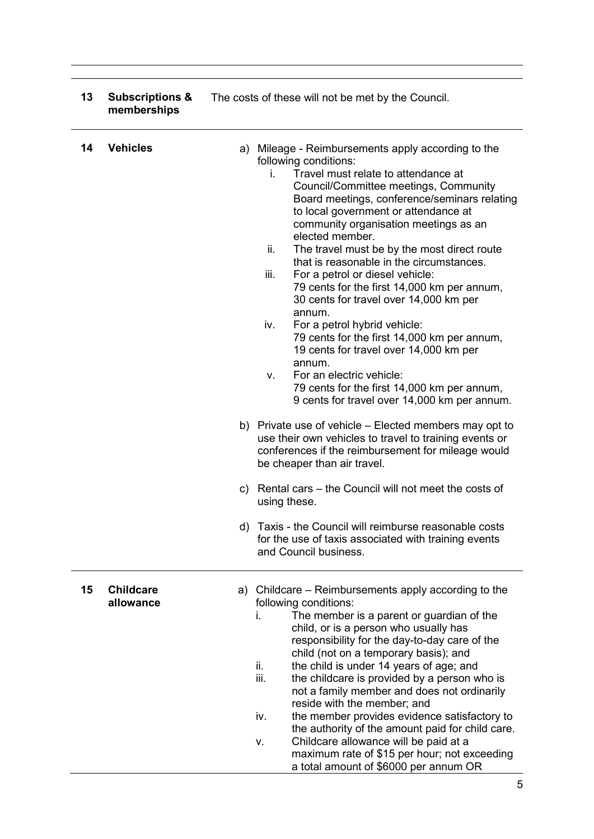| 13 | <b>Subscriptions &amp;</b><br>memberships | The costs of these will not be met by the Council.                                                                                                                                                                                                                                                                                                                                                                                                                                                                                                                                                                                                                                                                                                                                                                                                                                                                                                                                                                                                                                                                                                                                                                                                                                 |
|----|-------------------------------------------|------------------------------------------------------------------------------------------------------------------------------------------------------------------------------------------------------------------------------------------------------------------------------------------------------------------------------------------------------------------------------------------------------------------------------------------------------------------------------------------------------------------------------------------------------------------------------------------------------------------------------------------------------------------------------------------------------------------------------------------------------------------------------------------------------------------------------------------------------------------------------------------------------------------------------------------------------------------------------------------------------------------------------------------------------------------------------------------------------------------------------------------------------------------------------------------------------------------------------------------------------------------------------------|
| 14 | <b>Vehicles</b>                           | Mileage - Reimbursements apply according to the<br>a)<br>following conditions:<br>Travel must relate to attendance at<br>İ.<br>Council/Committee meetings, Community<br>Board meetings, conference/seminars relating<br>to local government or attendance at<br>community organisation meetings as an<br>elected member.<br>The travel must be by the most direct route<br>ii.<br>that is reasonable in the circumstances.<br>iii.<br>For a petrol or diesel vehicle:<br>79 cents for the first 14,000 km per annum,<br>30 cents for travel over 14,000 km per<br>annum.<br>iv.<br>For a petrol hybrid vehicle:<br>79 cents for the first 14,000 km per annum,<br>19 cents for travel over 14,000 km per<br>annum.<br>For an electric vehicle:<br>v.<br>79 cents for the first 14,000 km per annum,<br>9 cents for travel over 14,000 km per annum.<br>b) Private use of vehicle – Elected members may opt to<br>use their own vehicles to travel to training events or<br>conferences if the reimbursement for mileage would<br>be cheaper than air travel.<br>c) Rental cars – the Council will not meet the costs of<br>using these.<br>d) Taxis - the Council will reimburse reasonable costs<br>for the use of taxis associated with training events<br>and Council business. |
| 15 | <b>Childcare</b><br>allowance             | Childcare – Reimbursements apply according to the<br>a)<br>following conditions:<br>The member is a parent or guardian of the<br>i.<br>child, or is a person who usually has<br>responsibility for the day-to-day care of the<br>child (not on a temporary basis); and<br>ii.<br>the child is under 14 years of age; and<br>iii.<br>the childcare is provided by a person who is<br>not a family member and does not ordinarily<br>reside with the member; and<br>the member provides evidence satisfactory to<br>iv.<br>the authority of the amount paid for child care.<br>Childcare allowance will be paid at a<br>٧.<br>maximum rate of \$15 per hour; not exceeding<br>a total amount of \$6000 per annum OR                                                                                                                                                                                                                                                                                                                                                                                                                                                                                                                                                                  |